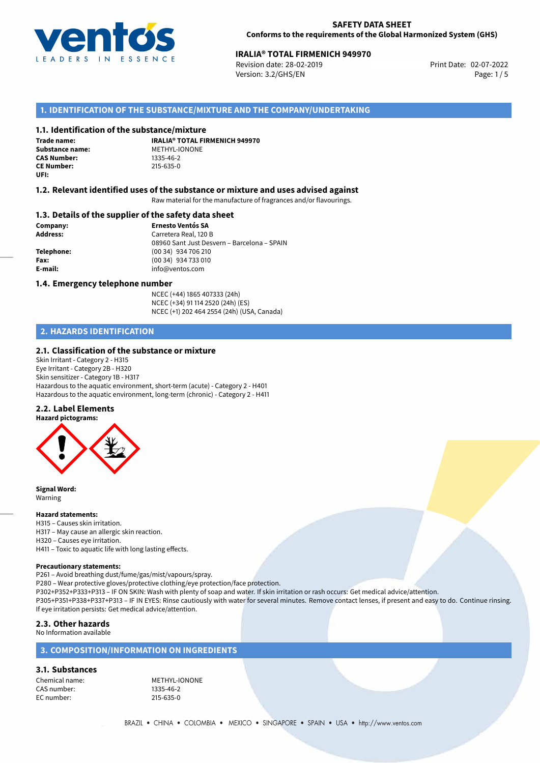

## **SAFETY DATA SHEET Conforms to the requirements of the Global Harmonized System (GHS)**

# **IRALIA® TOTAL FIRMENICH 949970**<br>
Revision date: 28-02-2019<br> **Print Date: 02-07-2022**

Revision date: 28-02-2019 Version: 3.2/GHS/EN Page: 1/5

# **1. IDENTIFICATION OF THE SUBSTANCE/MIXTURE AND THE COMPANY/UNDERTAKING**

# **1.1. Identification of the substance/mixture**

**Trade name: Substance name:** METHYL-IONONE<br> **CAS Number:** 1335-46-2 **CAS Number: CE Number:** 215-635-0 **UFI:**

**IRALIA® TOTAL FIRMENICH 949970**

## **1.2. Relevant identified uses of the substance or mixture and uses advised against**

Raw material for the manufacture of fragrances and/or flavourings.

### **1.3. Details of the supplier of the safety data sheet**

**Company: Ernesto Ventós SA Address:** Carretera Real, 120 B 08960 Sant Just Desvern – Barcelona – SPAIN **Telephone:** (00 34) 934 706 210 **Fax:** (00 34) 934 733 010 **E-mail:** info@ventos.com

### **1.4. Emergency telephone number**

NCEC (+44) 1865 407333 (24h) NCEC (+34) 91 114 2520 (24h) (ES) NCEC (+1) 202 464 2554 (24h) (USA, Canada)

# **2. HAZARDS IDENTIFICATION**

### **2.1. Classification of the substance or mixture**

Skin Irritant - Category 2 - H315 Eye Irritant - Category 2B - H320 Skin sensitizer - Category 1B - H317 Hazardous to the aquatic environment, short-term (acute) - Category 2 - H401 Hazardous to the aquatic environment, long-term (chronic) - Category 2 - H411

# **2.2. Label Elements**



**Signal Word:** Warning

#### **Hazard statements:**

H315 – Causes skin irritation. H317 – May cause an allergic skin reaction. H320 – Causes eye irritation. H411 – Toxic to aquatic life with long lasting effects.

#### **Precautionary statements:**

P261 – Avoid breathing dust/fume/gas/mist/vapours/spray.

P280 – Wear protective gloves/protective clothing/eye protection/face protection.

P302+P352+P333+P313 – IF ON SKIN: Wash with plenty of soap and water. If skin irritation or rash occurs: Get medical advice/attention.

P305+P351+P338+P337+P313 – IF IN EYES: Rinse cautiously with water for several minutes. Remove contact lenses, if present and easy to do. Continue rinsing. If eye irritation persists: Get medical advice/attention.

# **2.3. Other hazards**

No Information available

# **3. COMPOSITION/INFORMATION ON INGREDIENTS**

**3.1. Substances**

CAS number: 1335-46-2<br>EC number: 215-635-0 EC number:

Chemical name: METHYL-IONONE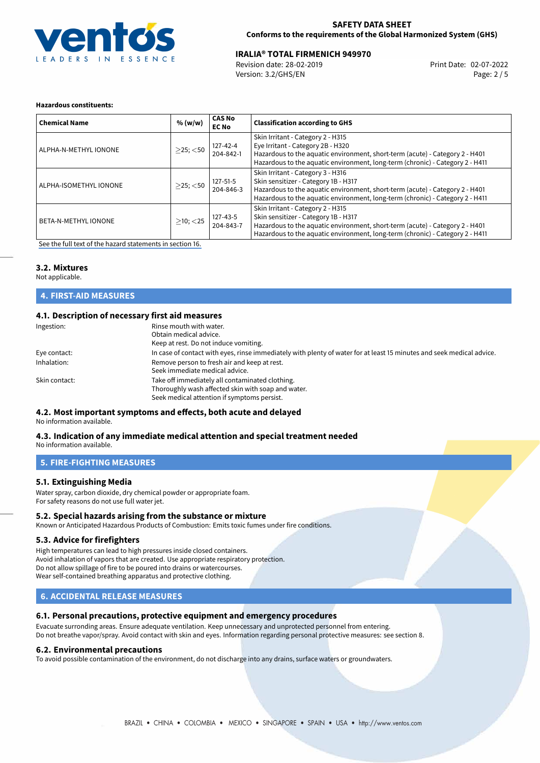

## **SAFETY DATA SHEET Conforms to the requirements of the Global Harmonized System (GHS)**

# **IRALIA® TOTAL FIRMENICH 949970**<br>
Revision date: 28-02-2019<br> **Print Date: 02-07-2022**

Revision date: 28-02-2019 Version: 3.2/GHS/EN Page: 2 / 5

#### **Hazardous constituents:**

| <b>Chemical Name</b>        | % (w/w)        | <b>CAS No</b><br><b>EC No</b> | <b>Classification according to GHS</b>                                                                                                                                                                                                     |
|-----------------------------|----------------|-------------------------------|--------------------------------------------------------------------------------------------------------------------------------------------------------------------------------------------------------------------------------------------|
| ALPHA-N-METHYL IONONE       | $>$ 25; $<$ 50 | 127-42-4<br>204-842-1         | Skin Irritant - Category 2 - H315<br>Eye Irritant - Category 2B - H320<br>Hazardous to the aquatic environment, short-term (acute) - Category 2 - H401<br>Hazardous to the aquatic environment, long-term (chronic) - Category 2 - H411    |
| ALPHA-ISOMETHYL IONONE      | $>$ 25; $<$ 50 | $127 - 51 - 5$<br>204-846-3   | Skin Irritant - Category 3 - H316<br>Skin sensitizer - Category 1B - H317<br>Hazardous to the aquatic environment, short-term (acute) - Category 2 - H401<br>Hazardous to the aquatic environment, long-term (chronic) - Category 2 - H411 |
| <b>BETA-N-METHYL IONONE</b> | $>10$ ; $<$ 25 | 127-43-5<br>204-843-7         | Skin Irritant - Category 2 - H315<br>Skin sensitizer - Category 1B - H317<br>Hazardous to the aquatic environment, short-term (acute) - Category 2 - H401<br>Hazardous to the aquatic environment, long-term (chronic) - Category 2 - H411 |

[See the full text of the hazard statements in section 16.](#page-4-0)

# **3.2. Mixtures**

Not applicable.

# **4. FIRST-AID MEASURES**

# **4.1. Description of necessary first aid measures**

| Ingestion:    | Rinse mouth with water.<br>Obtain medical advice.<br>Keep at rest. Do not induce vomiting.                                                           |
|---------------|------------------------------------------------------------------------------------------------------------------------------------------------------|
| Eye contact:  | In case of contact with eyes, rinse immediately with plenty of water for at least 15 minutes and seek medical advice.                                |
| Inhalation:   | Remove person to fresh air and keep at rest.<br>Seek immediate medical advice.                                                                       |
| Skin contact: | Take off immediately all contaminated clothing.<br>Thoroughly wash affected skin with soap and water.<br>Seek medical attention if symptoms persist. |

# **4.2. Most important symptoms and effects, both acute and delayed**

No information available.

#### **4.3. Indication of any immediate medical attention and special treatment needed** No information available.

# **5. FIRE-FIGHTING MEASURES**

# **5.1. Extinguishing Media**

Water spray, carbon dioxide, dry chemical powder or appropriate foam. For safety reasons do not use full water jet.

# **5.2. Special hazards arising from the substance or mixture**

Known or Anticipated Hazardous Products of Combustion: Emits toxic fumes under fire conditions.

## **5.3. Advice for firefighters**

High temperatures can lead to high pressures inside closed containers. Avoid inhalation of vapors that are created. Use appropriate respiratory protection. Do not allow spillage of fire to be poured into drains or watercourses. Wear self-contained breathing apparatus and protective clothing.

# **6. ACCIDENTAL RELEASE MEASURES**

# **6.1. Personal precautions, protective equipment and emergency procedures**

Evacuate surronding areas. Ensure adequate ventilation. Keep unnecessary and unprotected personnel from entering. Do not breathe vapor/spray. Avoid contact with skin and eyes. Information regarding personal protective measures: see section 8.

#### **6.2. Environmental precautions**

To avoid possible contamination of the environment, do not discharge into any drains, surface waters or groundwaters.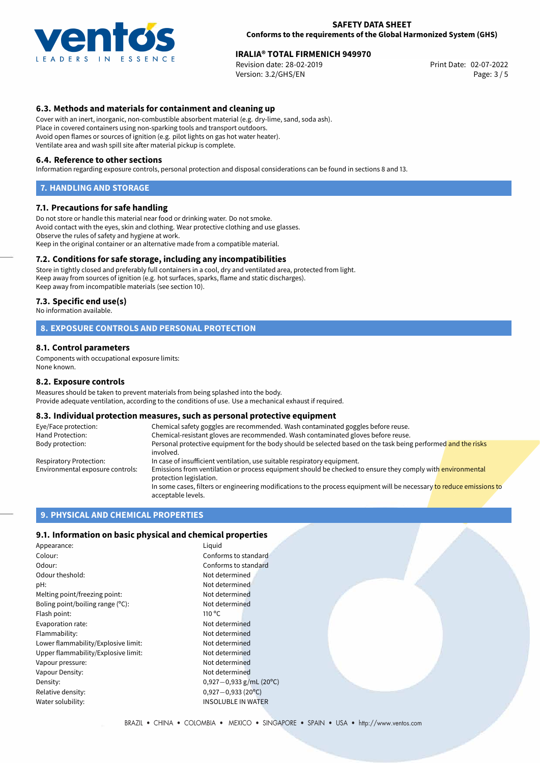

# **IRALIA® TOTAL FIRMENICH 949970**<br>
Revision date: 28-02-2019<br> **Print Date: 02-07-2022**

Revision date: 28-02-2019 Version: 3.2/GHS/EN Page: 3 / 5

# **6.3. Methods and materials for containment and cleaning up**

Cover with an inert, inorganic, non-combustible absorbent material (e.g. dry-lime, sand, soda ash). Place in covered containers using non-sparking tools and transport outdoors. Avoid open flames or sources of ignition (e.g. pilot lights on gas hot water heater). Ventilate area and wash spill site after material pickup is complete.

#### **6.4. Reference to other sections**

Information regarding exposure controls, personal protection and disposal considerations can be found in sections 8 and 13.

#### **7. HANDLING AND STORAGE**

### **7.1. Precautions for safe handling**

Do not store or handle this material near food or drinking water. Do not smoke. Avoid contact with the eyes, skin and clothing. Wear protective clothing and use glasses. Observe the rules of safety and hygiene at work. Keep in the original container or an alternative made from a compatible material.

# **7.2. Conditions for safe storage, including any incompatibilities**

Store in tightly closed and preferably full containers in a cool, dry and ventilated area, protected from light. Keep away from sources of ignition (e.g. hot surfaces, sparks, flame and static discharges). Keep away from incompatible materials (see section 10).

#### **7.3. Specific end use(s)**

No information available.

# **8. EXPOSURE CONTROLS AND PERSONAL PROTECTION**

### **8.1. Control parameters**

Components with occupational exposure limits: None known.

#### **8.2. Exposure controls**

Measures should be taken to prevent materials from being splashed into the body. Provide adequate ventilation, according to the conditions of use. Use a mechanical exhaust if required.

#### **8.3. Individual protection measures, such as personal protective equipment**

| Eye/Face protection:             | Chemical safety goggles are recommended. Wash contaminated goggles before reuse.                                                            |  |  |  |
|----------------------------------|---------------------------------------------------------------------------------------------------------------------------------------------|--|--|--|
| Hand Protection:                 | Chemical-resistant gloves are recommended. Wash contaminated gloves before reuse.                                                           |  |  |  |
| Body protection:                 | Personal protective equipment for the body should be selected based on the task being performed and the risks<br>involved.                  |  |  |  |
| Respiratory Protection:          | In case of insufficient ventilation, use suitable respiratory equipment.                                                                    |  |  |  |
| Environmental exposure controls: | Emissions from ventilation or process equipment should be checked to ensure they comply with environmental<br>protection legislation.       |  |  |  |
|                                  | In some cases, filters or engineering modifications to the process equipment will be necessary to reduce emissions to<br>acceptable levels. |  |  |  |

## **9. PHYSICAL AND CHEMICAL PROPERTIES**

#### **9.1. Information on basic physical and chemical properties**

| Appearance:                         | Liguid                    |
|-------------------------------------|---------------------------|
| Colour:                             | Conforms to standard      |
| Odour:                              | Conforms to standard      |
| Odour theshold:                     | Not determined            |
| pH:                                 | Not determined            |
| Melting point/freezing point:       | Not determined            |
| Boling point/boiling range $(°C)$ : | Not determined            |
| Flash point:                        | 110 $\degree$ C           |
| Evaporation rate:                   | Not determined            |
| Flammability:                       | Not determined            |
| Lower flammability/Explosive limit: | Not determined            |
| Upper flammability/Explosive limit: | Not determined            |
| Vapour pressure:                    | Not determined            |
| Vapour Density:                     | Not determined            |
| Density:                            | 0,927 - 0,933 g/mL (20°C) |
| Relative density:                   | $0,927 - 0,933$ (20°C)    |
| Water solubility:                   | <b>INSOLUBLE IN WATER</b> |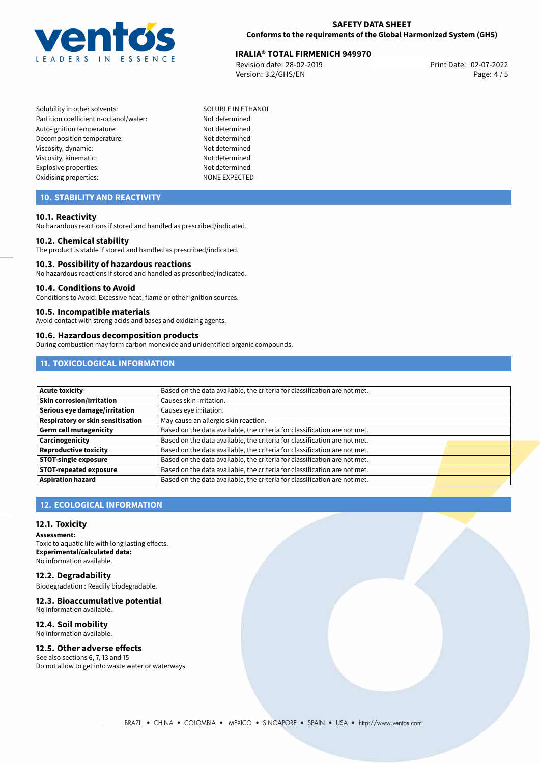

# **IRALIA® TOTAL FIRMENICH 949970**<br>
Revision date: 28-02-2019<br> **Print Date: 02-07-2022**

Revision date: 28-02-2019 Version: 3.2/GHS/EN Page: 4 / 5

- Solubility in other solvents: SOLUBLE IN ETHANOL Partition coefficient n-octanol/water: Not determined Auto-ignition temperature: Not determined Decomposition temperature: Not determined Viscosity, dynamic: Not determined Viscosity, kinematic: Not determined Explosive properties: Not determined Oxidising properties: NONE EXPECTED
	-

# **10. STABILITY AND REACTIVITY**

### **10.1. Reactivity**

No hazardous reactions if stored and handled as prescribed/indicated.

#### **10.2. Chemical stability**

The product is stable if stored and handled as prescribed/indicated.

#### **10.3. Possibility of hazardous reactions**

No hazardous reactions if stored and handled as prescribed/indicated.

#### **10.4. Conditions to Avoid**

Conditions to Avoid: Excessive heat, flame or other ignition sources.

### **10.5. Incompatible materials**

Avoid contact with strong acids and bases and oxidizing agents.

#### **10.6. Hazardous decomposition products**

During combustion may form carbon monoxide and unidentified organic compounds.

# **11. TOXICOLOGICAL INFORMATION**

| <b>Acute toxicity</b>             | Based on the data available, the criteria for classification are not met. |  |
|-----------------------------------|---------------------------------------------------------------------------|--|
| Skin corrosion/irritation         | Causes skin irritation.                                                   |  |
| Serious eye damage/irritation     | Causes eye irritation.                                                    |  |
| Respiratory or skin sensitisation | May cause an allergic skin reaction.                                      |  |
| Germ cell mutagenicity            | Based on the data available, the criteria for classification are not met. |  |
| Carcinogenicity                   | Based on the data available, the criteria for classification are not met. |  |
| <b>Reproductive toxicity</b>      | Based on the data available, the criteria for classification are not met. |  |
| <b>STOT-single exposure</b>       | Based on the data available, the criteria for classification are not met. |  |
| <b>STOT-repeated exposure</b>     | Based on the data available, the criteria for classification are not met. |  |
| <b>Aspiration hazard</b>          | Based on the data available, the criteria for classification are not met. |  |

# **12. ECOLOGICAL INFORMATION**

### **12.1. Toxicity**

**Assessment:** Toxic to aquatic life with long lasting effects. **Experimental/calculated data:** No information available.

**12.2. Degradability**

Biodegradation : Readily biodegradable.

#### **12.3. Bioaccumulative potential** No information available.

# **12.4. Soil mobility**

No information available.

# **12.5. Other adverse effects**

See also sections 6, 7, 13 and 15 Do not allow to get into waste water or waterways.